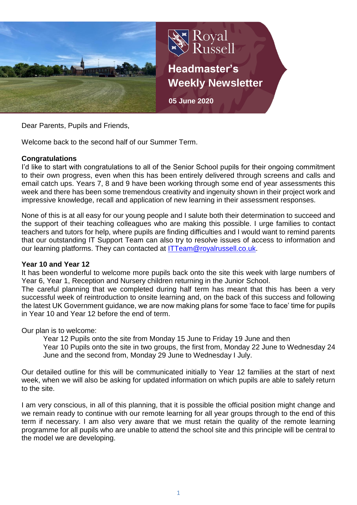

Dear Parents, Pupils and Friends,

Welcome back to the second half of our Summer Term.

## **Congratulations**

I'd like to start with congratulations to all of the Senior School pupils for their ongoing commitment to their own progress, even when this has been entirely delivered through screens and calls and email catch ups. Years 7, 8 and 9 have been working through some end of year assessments this week and there has been some tremendous creativity and ingenuity shown in their project work and impressive knowledge, recall and application of new learning in their assessment responses.

None of this is at all easy for our young people and I salute both their determination to succeed and the support of their teaching colleagues who are making this possible. I urge families to contact teachers and tutors for help, where pupils are finding difficulties and I would want to remind parents that our outstanding IT Support Team can also try to resolve issues of access to information and our learning platforms. They can contacted at [ITTeam@royalrussell.co.uk.](mailto:ITTeam@royalrussell.co.uk)

## **Year 10 and Year 12**

It has been wonderful to welcome more pupils back onto the site this week with large numbers of Year 6, Year 1, Reception and Nursery children returning in the Junior School.

The careful planning that we completed during half term has meant that this has been a very successful week of reintroduction to onsite learning and, on the back of this success and following the latest UK Government guidance, we are now making plans for some 'face to face' time for pupils in Year 10 and Year 12 before the end of term.

Our plan is to welcome:

Year 12 Pupils onto the site from Monday 15 June to Friday 19 June and then Year 10 Pupils onto the site in two groups, the first from, Monday 22 June to Wednesday 24 June and the second from, Monday 29 June to Wednesday I July.

Our detailed outline for this will be communicated initially to Year 12 families at the start of next week, when we will also be asking for updated information on which pupils are able to safely return to the site.

I am very conscious, in all of this planning, that it is possible the official position might change and we remain ready to continue with our remote learning for all year groups through to the end of this term if necessary. I am also very aware that we must retain the quality of the remote learning programme for all pupils who are unable to attend the school site and this principle will be central to the model we are developing.